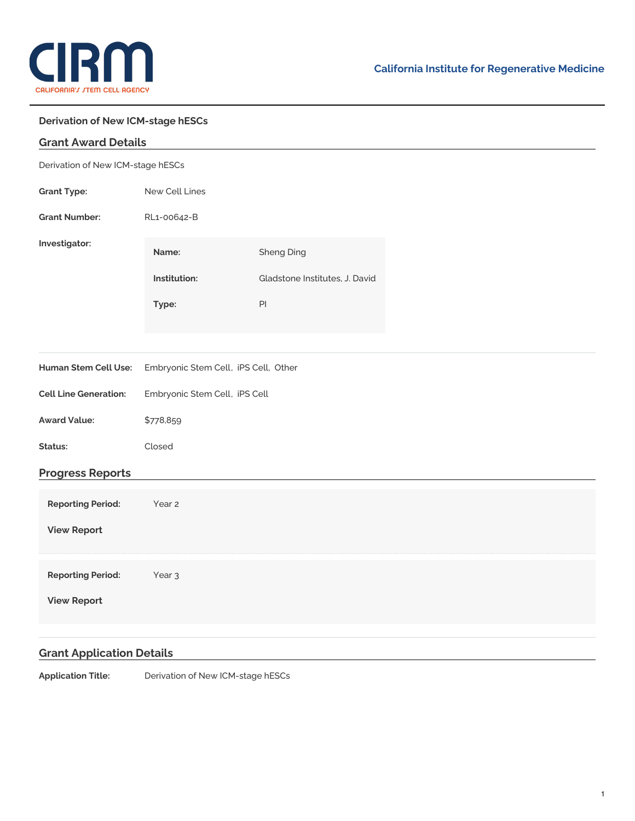

## **Derivation of New ICM-stage hESCs**

| <b>Grant Award Details</b>        |                                      |                                |  |
|-----------------------------------|--------------------------------------|--------------------------------|--|
| Derivation of New ICM-stage hESCs |                                      |                                |  |
| <b>Grant Type:</b>                | New Cell Lines                       |                                |  |
| <b>Grant Number:</b>              | RL1-00642-B                          |                                |  |
| Investigator:                     | Name:                                | <b>Sheng Ding</b>              |  |
|                                   | Institution:                         | Gladstone Institutes, J. David |  |
|                                   | Type:                                | $\mathsf{Pl}$                  |  |
|                                   |                                      |                                |  |
| Human Stem Cell Use:              | Embryonic Stem Cell, iPS Cell, Other |                                |  |
| <b>Cell Line Generation:</b>      | Embryonic Stem Cell, iPS Cell        |                                |  |
| <b>Award Value:</b>               | \$778,859                            |                                |  |
| Status:                           | Closed                               |                                |  |
| <b>Progress Reports</b>           |                                      |                                |  |
| <b>Reporting Period:</b>          | Year 2                               |                                |  |
| <b>View Report</b>                |                                      |                                |  |
| <b>Reporting Period:</b>          | Year <sub>3</sub>                    |                                |  |
| <b>View Report</b>                |                                      |                                |  |
|                                   |                                      |                                |  |

## **Grant Application Details**

**Application Title:** Derivation of New ICM-stage hESCs